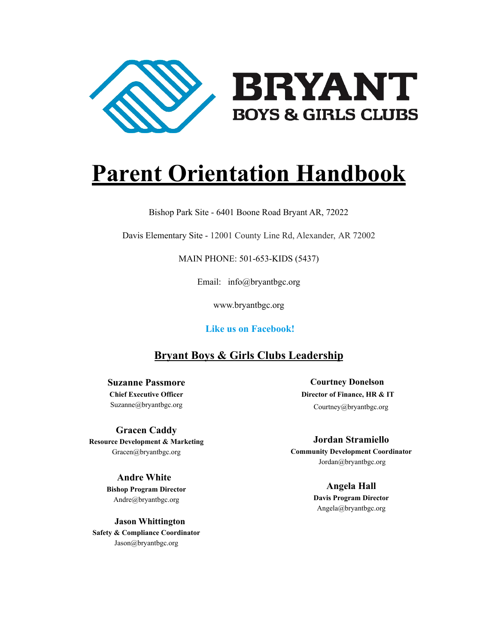

# **Parent Orientation Handbook**

Bishop Park Site - 6401 Boone Road Bryant AR, 72022

Davis Elementary Site - 12001 County Line Rd, Alexander, AR 72002

MAIN PHONE: 501-653-KIDS (5437)

Email: info@bryantbgc.org

www.bryantbgc.org

**Like us on Facebook!**

#### **Bryant Boys & Girls Clubs Leadership**

**Suzanne Passmore Chief Executive Officer**

Suzanne@bryantbgc.org

#### **Gracen Caddy**

**Resource Development & Marketing** Gracen@bryantbgc.org

#### **Andre White**

**Bishop Program Director** Andre@bryantbgc.org

**Jason Whittington Safety & Compliance Coordinator** Jason@bryantbgc.org

**Courtney Donelson Director of Finance, HR & IT** Courtney@bryantbgc.org

**Jordan Stramiello Community Development Coordinator** Jordan@bryantbgc.org

> **Angela Hall Davis Program Director** Angela@bryantbgc.org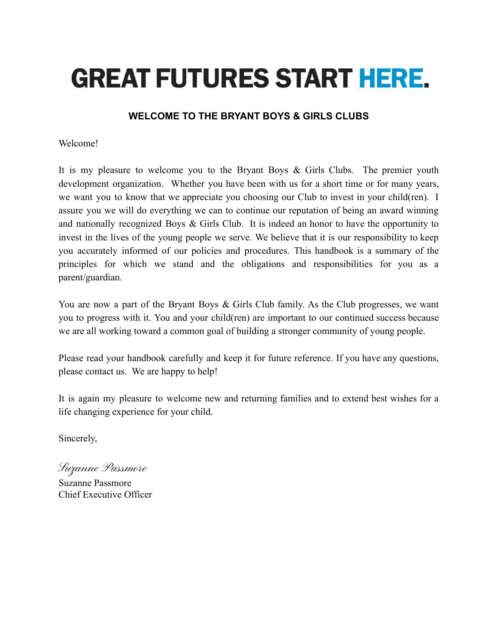# **GREAT FUTURES START HERE.**

#### **WELCOME TO THE BRYANT BOYS & GIRLS CLUBS**

#### Welcome!

It is my pleasure to welcome you to the Bryant Boys & Girls Clubs. The premier youth development organization. Whether you have been with us for a short time or for many years, we want you to know that we appreciate you choosing our Club to invest in your child(ren). I assure you we will do everything we can to continue our reputation of being an award winning and nationally recognized Boys & Girls Club. It is indeed an honor to have the opportunity to invest in the lives of the young people we serve. We believe that it is our responsibility to keep you accurately informed of our policies and procedures. This handbook is a summary of the principles for which we stand and the obligations and responsibilities for you as a parent/guardian.

You are now a part of the Bryant Boys & Girls Club family. As the Club progresses, we want you to progress with it. You and your child(ren) are important to our continued success because we are all working toward a common goal of building a stronger community of young people.

Please read your handbook carefully and keep it for future reference. If you have any questions, please contact us. We are happy to help!

It is again my pleasure to welcome new and returning families and to extend best wishes for a life changing experience for your child.

Sincerely,

Suzanne Passmore

Suzanne Passmore Chief Executive Officer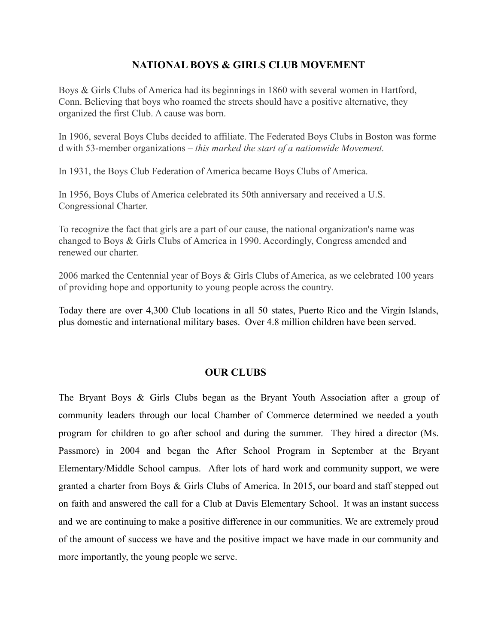#### **NATIONAL BOYS & GIRLS CLUB MOVEMENT**

Boys & Girls Clubs of America had its beginnings in 1860 with several women in Hartford, Conn. Believing that boys who roamed the streets should have a positive alternative, they organized the first Club. A cause was born.

In 1906, several Boys Clubs decided to affiliate. The Federated Boys Clubs in Boston was forme d with 53-member organizations – *this marked the start of a nationwide Movement.*

In 1931, the Boys Club Federation of America became Boys Clubs of America.

In 1956, Boys Clubs of America celebrated its 50th anniversary and received a U.S. Congressional Charter.

To recognize the fact that girls are a part of our cause, the national organization's name was changed to Boys & Girls Clubs of America in 1990. Accordingly, Congress amended and renewed our charter.

2006 marked the Centennial year of Boys & Girls Clubs of America, as we celebrated 100 years of providing hope and opportunity to young people across the country.

Today there are over 4,300 Club locations in all 50 states, Puerto Rico and the Virgin Islands, plus domestic and international military bases. Over 4.8 million children have been served.

#### **OUR CLUBS**

The Bryant Boys & Girls Clubs began as the Bryant Youth Association after a group of community leaders through our local Chamber of Commerce determined we needed a youth program for children to go after school and during the summer. They hired a director (Ms. Passmore) in 2004 and began the After School Program in September at the Bryant Elementary/Middle School campus. After lots of hard work and community support, we were granted a charter from Boys & Girls Clubs of America. In 2015, our board and staff stepped out on faith and answered the call for a Club at Davis Elementary School. It was an instant success and we are continuing to make a positive difference in our communities. We are extremely proud of the amount of success we have and the positive impact we have made in our community and more importantly, the young people we serve.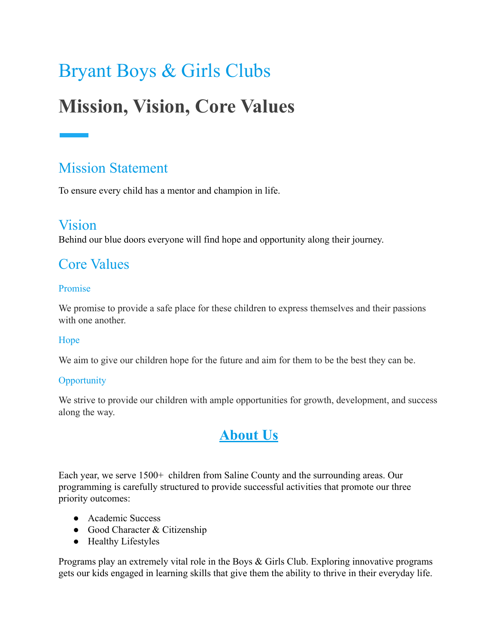# Bryant Boys & Girls Clubs

# **Mission, Vision, Core Values**

# Mission Statement

To ensure every child has a mentor and champion in life.

# Vision

Behind our blue doors everyone will find hope and opportunity along their journey.

# Core Values

#### Promise

We promise to provide a safe place for these children to express themselves and their passions with one another

#### Hope

We aim to give our children hope for the future and aim for them to be the best they can be.

#### **Opportunity**

We strive to provide our children with ample opportunities for growth, development, and success along the way.

# **About Us**

Each year, we serve 1500+ children from Saline County and the surrounding areas. Our programming is carefully structured to provide successful activities that promote our three priority outcomes:

- Academic Success
- Good Character & Citizenship
- Healthy Lifestyles

Programs play an extremely vital role in the Boys & Girls Club. Exploring innovative programs gets our kids engaged in learning skills that give them the ability to thrive in their everyday life.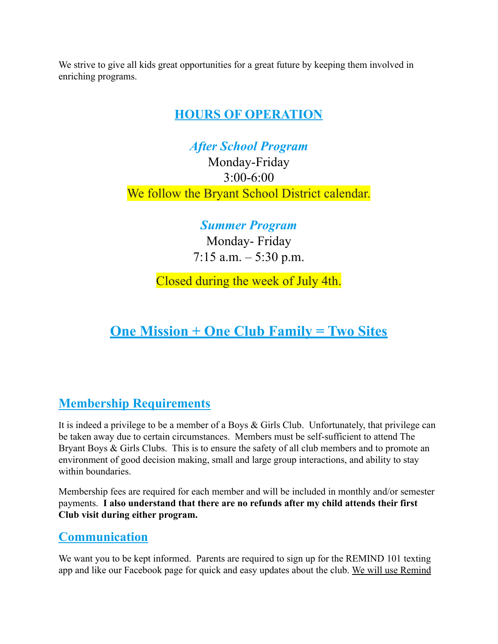We strive to give all kids great opportunities for a great future by keeping them involved in enriching programs.

## **HOURS OF OPERATION**

*After School Program*

Monday-Friday 3:00-6:00 We follow the Bryant School District calendar.

*Summer Program*

Monday- Friday 7:15 a.m. – 5:30 p.m.

Closed during the week of July 4th.

# **One Mission + One Club Family = Two Sites**

# **Membership Requirements**

It is indeed a privilege to be a member of a Boys & Girls Club. Unfortunately, that privilege can be taken away due to certain circumstances. Members must be self-sufficient to attend The Bryant Boys & Girls Clubs. This is to ensure the safety of all club members and to promote an environment of good decision making, small and large group interactions, and ability to stay within boundaries.

Membership fees are required for each member and will be included in monthly and/or semester payments. **I also understand that there are no refunds after my child attends their first Club visit during either program.**

## **Communication**

We want you to be kept informed. Parents are required to sign up for the REMIND 101 texting app and like our Facebook page for quick and easy updates about the club. We will use Remind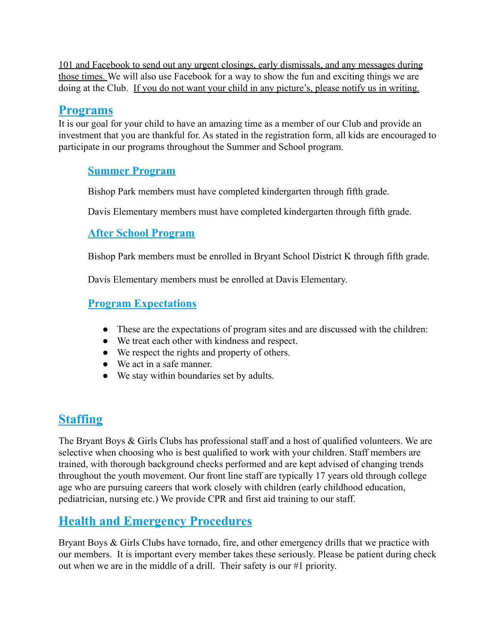101 and Facebook to send out any urgent closings, early dismissals, and any messages during those times. We will also use Facebook for a way to show the fun and exciting things we are doing at the Club. If you do not want your child in any picture's, please notify us in writing.

#### **Programs**

It is our goal for your child to have an amazing time as a member of our Club and provide an investment that you are thankful for. As stated in the registration form, all kids are encouraged to participate in our programs throughout the Summer and School program.

#### **Summer Program**

Bishop Park members must have completed kindergarten through fifth grade.

Davis Elementary members must have completed kindergarten through fifth grade.

#### **After School Program**

Bishop Park members must be enrolled in Bryant School District K through fifth grade.

Davis Elementary members must be enrolled at Davis Elementary.

#### **Program Expectations**

- These are the expectations of program sites and are discussed with the children:
- We treat each other with kindness and respect.
- We respect the rights and property of others.
- We act in a safe manner.
- We stay within boundaries set by adults.

## **Staffing**

The Bryant Boys & Girls Clubs has professional staff and a host of qualified volunteers. We are selective when choosing who is best qualified to work with your children. Staff members are trained, with thorough background checks performed and are kept advised of changing trends throughout the youth movement. Our front line staff are typically 17 years old through college age who are pursuing careers that work closely with children (early childhood education, pediatrician, nursing etc.) We provide CPR and first aid training to our staff.

## **Health and Emergency Procedures**

Bryant Boys & Girls Clubs have tornado, fire, and other emergency drills that we practice with our members. It is important every member takes these seriously. Please be patient during check out when we are in the middle of a drill. Their safety is our #1 priority.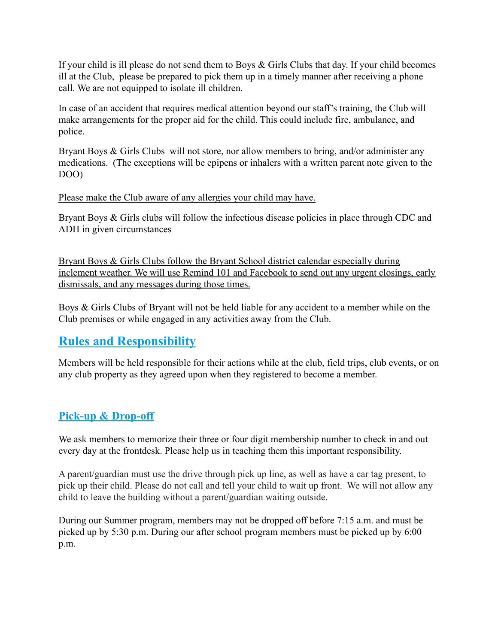If your child is ill please do not send them to Boys & Girls Clubs that day. If your child becomes ill at the Club, please be prepared to pick them up in a timely manner after receiving a phone call. We are not equipped to isolate ill children.

In case of an accident that requires medical attention beyond our staff's training, the Club will make arrangements for the proper aid for the child. This could include fire, ambulance, and police.

Bryant Boys & Girls Clubs will not store, nor allow members to bring, and/or administer any medications. (The exceptions will be epipens or inhalers with a written parent note given to the DOO)

#### Please make the Club aware of any allergies your child may have.

Bryant Boys & Girls clubs will follow the infectious disease policies in place through CDC and ADH in given circumstances

Bryant Boys & Girls Clubs follow the Bryant School district calendar especially during inclement weather. We will use Remind 101 and Facebook to send out any urgent closings, early dismissals, and any messages during those times.

Boys & Girls Clubs of Bryant will not be held liable for any accident to a member while on the Club premises or while engaged in any activities away from the Club.

## **Rules and Responsibility**

Members will be held responsible for their actions while at the club, field trips, club events, or on any club property as they agreed upon when they registered to become a member.

#### **Pick-up & Drop-off**

We ask members to memorize their three or four digit membership number to check in and out every day at the frontdesk. Please help us in teaching them this important responsibility.

A parent/guardian must use the drive through pick up line, as well as have a car tag present, to pick up their child. Please do not call and tell your child to wait up front. We will not allow any child to leave the building without a parent/guardian waiting outside.

During our Summer program, members may not be dropped off before 7:15 a.m. and must be picked up by 5:30 p.m. During our after school program members must be picked up by 6:00 p.m.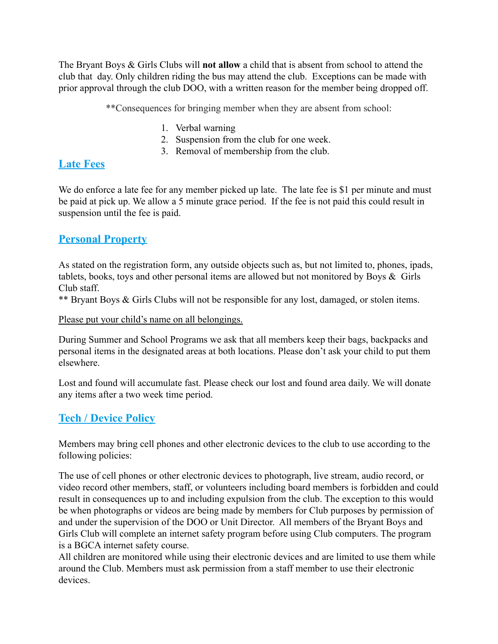The Bryant Boys & Girls Clubs will **not allow** a child that is absent from school to attend the club that day. Only children riding the bus may attend the club. Exceptions can be made with prior approval through the club DOO, with a written reason for the member being dropped off.

\*\*Consequences for bringing member when they are absent from school:

- 1. Verbal warning
- 2. Suspension from the club for one week.
- 3. Removal of membership from the club.

#### **Late Fees**

We do enforce a late fee for any member picked up late. The late fee is \$1 per minute and must be paid at pick up. We allow a 5 minute grace period. If the fee is not paid this could result in suspension until the fee is paid.

#### **Personal Property**

As stated on the registration form, any outside objects such as, but not limited to, phones, ipads, tablets, books, toys and other personal items are allowed but not monitored by Boys & Girls Club staff.

\*\* Bryant Boys & Girls Clubs will not be responsible for any lost, damaged, or stolen items.

Please put your child's name on all belongings.

During Summer and School Programs we ask that all members keep their bags, backpacks and personal items in the designated areas at both locations. Please don't ask your child to put them elsewhere.

Lost and found will accumulate fast. Please check our lost and found area daily. We will donate any items after a two week time period.

#### **Tech / Device Policy**

Members may bring cell phones and other electronic devices to the club to use according to the following policies:

The use of cell phones or other electronic devices to photograph, live stream, audio record, or video record other members, staff, or volunteers including board members is forbidden and could result in consequences up to and including expulsion from the club. The exception to this would be when photographs or videos are being made by members for Club purposes by permission of and under the supervision of the DOO or Unit Director. All members of the Bryant Boys and Girls Club will complete an internet safety program before using Club computers. The program is a BGCA internet safety course.

All children are monitored while using their electronic devices and are limited to use them while around the Club. Members must ask permission from a staff member to use their electronic devices.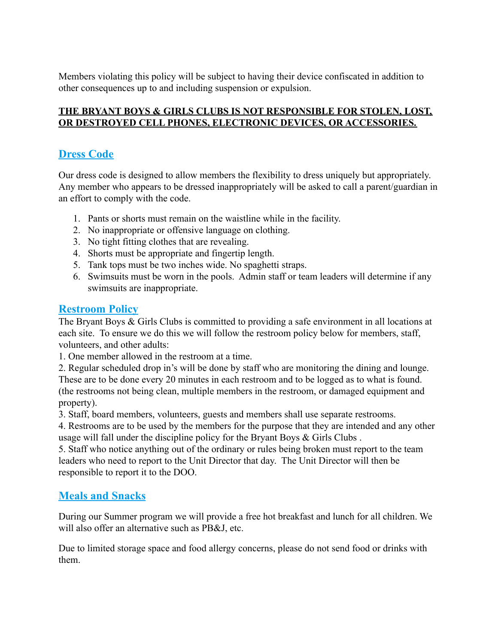Members violating this policy will be subject to having their device confiscated in addition to other consequences up to and including suspension or expulsion.

#### **THE BRYANT BOYS & GIRLS CLUBS IS NOT RESPONSIBLE FOR STOLEN, LOST, OR DESTROYED CELL PHONES, ELECTRONIC DEVICES, OR ACCESSORIES.**

#### **Dress Code**

Our dress code is designed to allow members the flexibility to dress uniquely but appropriately. Any member who appears to be dressed inappropriately will be asked to call a parent/guardian in an effort to comply with the code.

- 1. Pants or shorts must remain on the waistline while in the facility.
- 2. No inappropriate or offensive language on clothing.
- 3. No tight fitting clothes that are revealing.
- 4. Shorts must be appropriate and fingertip length.
- 5. Tank tops must be two inches wide. No spaghetti straps.
- 6. Swimsuits must be worn in the pools. Admin staff or team leaders will determine if any swimsuits are inappropriate.

#### **Restroom Policy**

The Bryant Boys & Girls Clubs is committed to providing a safe environment in all locations at each site. To ensure we do this we will follow the restroom policy below for members, staff, volunteers, and other adults:

1. One member allowed in the restroom at a time.

2. Regular scheduled drop in's will be done by staff who are monitoring the dining and lounge. These are to be done every 20 minutes in each restroom and to be logged as to what is found. (the restrooms not being clean, multiple members in the restroom, or damaged equipment and property).

3. Staff, board members, volunteers, guests and members shall use separate restrooms.

4. Restrooms are to be used by the members for the purpose that they are intended and any other usage will fall under the discipline policy for the Bryant Boys & Girls Clubs .

5. Staff who notice anything out of the ordinary or rules being broken must report to the team leaders who need to report to the Unit Director that day. The Unit Director will then be responsible to report it to the DOO.

#### **Meals and Snacks**

During our Summer program we will provide a free hot breakfast and lunch for all children. We will also offer an alternative such as PB&J, etc.

Due to limited storage space and food allergy concerns, please do not send food or drinks with them.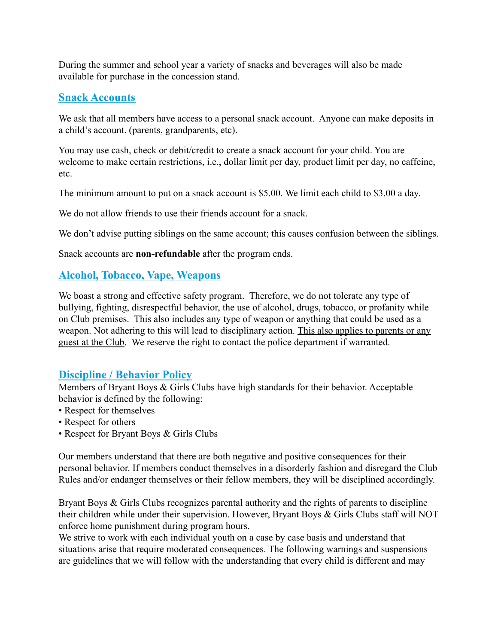During the summer and school year a variety of snacks and beverages will also be made available for purchase in the concession stand.

#### **Snack Accounts**

We ask that all members have access to a personal snack account. Anyone can make deposits in a child's account. (parents, grandparents, etc).

You may use cash, check or debit/credit to create a snack account for your child. You are welcome to make certain restrictions, i.e., dollar limit per day, product limit per day, no caffeine, etc.

The minimum amount to put on a snack account is \$5.00. We limit each child to \$3.00 a day.

We do not allow friends to use their friends account for a snack.

We don't advise putting siblings on the same account; this causes confusion between the siblings.

Snack accounts are **non-refundable** after the program ends.

#### **Alcohol, Tobacco, Vape, Weapons**

We boast a strong and effective safety program. Therefore, we do not tolerate any type of bullying, fighting, disrespectful behavior, the use of alcohol, drugs, tobacco, or profanity while on Club premises. This also includes any type of weapon or anything that could be used as a weapon. Not adhering to this will lead to disciplinary action. This also applies to parents or any guest at the Club. We reserve the right to contact the police department if warranted.

#### **Discipline / Behavior Policy**

Members of Bryant Boys & Girls Clubs have high standards for their behavior. Acceptable behavior is defined by the following:

- Respect for themselves
- Respect for others
- Respect for Bryant Boys & Girls Clubs

Our members understand that there are both negative and positive consequences for their personal behavior. If members conduct themselves in a disorderly fashion and disregard the Club Rules and/or endanger themselves or their fellow members, they will be disciplined accordingly.

Bryant Boys & Girls Clubs recognizes parental authority and the rights of parents to discipline their children while under their supervision. However, Bryant Boys & Girls Clubs staff will NOT enforce home punishment during program hours.

We strive to work with each individual youth on a case by case basis and understand that situations arise that require moderated consequences. The following warnings and suspensions are guidelines that we will follow with the understanding that every child is different and may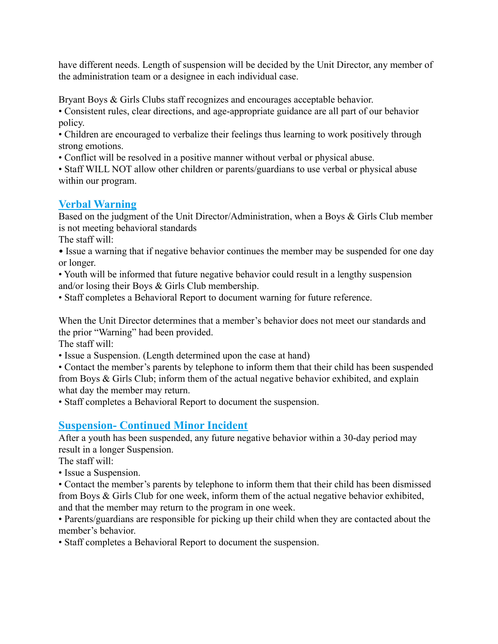have different needs. Length of suspension will be decided by the Unit Director, any member of the administration team or a designee in each individual case.

Bryant Boys & Girls Clubs staff recognizes and encourages acceptable behavior.

• Consistent rules, clear directions, and age-appropriate guidance are all part of our behavior policy.

• Children are encouraged to verbalize their feelings thus learning to work positively through strong emotions.

• Conflict will be resolved in a positive manner without verbal or physical abuse.

• Staff WILL NOT allow other children or parents/guardians to use verbal or physical abuse within our program.

#### **Verbal Warning**

Based on the judgment of the Unit Director/Administration, when a Boys & Girls Club member is not meeting behavioral standards

The staff will:

- Issue a warning that if negative behavior continues the member may be suspended for one day or longer.
- Youth will be informed that future negative behavior could result in a lengthy suspension and/or losing their Boys & Girls Club membership.
- Staff completes a Behavioral Report to document warning for future reference.

When the Unit Director determines that a member's behavior does not meet our standards and the prior "Warning" had been provided.

The staff will:

• Issue a Suspension. (Length determined upon the case at hand)

• Contact the member's parents by telephone to inform them that their child has been suspended from Boys & Girls Club; inform them of the actual negative behavior exhibited, and explain what day the member may return.

• Staff completes a Behavioral Report to document the suspension.

#### **Suspension- Continued Minor Incident**

After a youth has been suspended, any future negative behavior within a 30-day period may result in a longer Suspension.

The staff will:

• Issue a Suspension.

• Contact the member's parents by telephone to inform them that their child has been dismissed from Boys & Girls Club for one week, inform them of the actual negative behavior exhibited, and that the member may return to the program in one week.

• Parents/guardians are responsible for picking up their child when they are contacted about the member's behavior.

• Staff completes a Behavioral Report to document the suspension.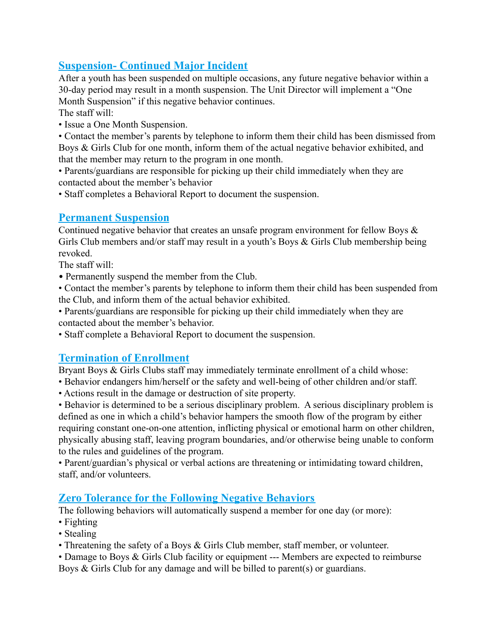#### **Suspension- Continued Major Incident**

After a youth has been suspended on multiple occasions, any future negative behavior within a 30-day period may result in a month suspension. The Unit Director will implement a "One Month Suspension" if this negative behavior continues.

The staff will:

• Issue a One Month Suspension.

• Contact the member's parents by telephone to inform them their child has been dismissed from Boys & Girls Club for one month, inform them of the actual negative behavior exhibited, and that the member may return to the program in one month.

• Parents/guardians are responsible for picking up their child immediately when they are contacted about the member's behavior

• Staff completes a Behavioral Report to document the suspension.

#### **Permanent Suspension**

Continued negative behavior that creates an unsafe program environment for fellow Boys  $\&$ Girls Club members and/or staff may result in a youth's Boys & Girls Club membership being revoked.

The staff will:

• Permanently suspend the member from the Club.

• Contact the member's parents by telephone to inform them their child has been suspended from the Club, and inform them of the actual behavior exhibited.

• Parents/guardians are responsible for picking up their child immediately when they are contacted about the member's behavior.

• Staff complete a Behavioral Report to document the suspension.

#### **Termination of Enrollment**

Bryant Boys & Girls Clubs staff may immediately terminate enrollment of a child whose:

- Behavior endangers him/herself or the safety and well-being of other children and/or staff.
- Actions result in the damage or destruction of site property.

• Behavior is determined to be a serious disciplinary problem. A serious disciplinary problem is defined as one in which a child's behavior hampers the smooth flow of the program by either requiring constant one-on-one attention, inflicting physical or emotional harm on other children, physically abusing staff, leaving program boundaries, and/or otherwise being unable to conform to the rules and guidelines of the program.

• Parent/guardian's physical or verbal actions are threatening or intimidating toward children, staff, and/or volunteers.

#### **Zero Tolerance for the Following Negative Behaviors**

The following behaviors will automatically suspend a member for one day (or more):

- Fighting
- Stealing
- Threatening the safety of a Boys & Girls Club member, staff member, or volunteer.

• Damage to Boys & Girls Club facility or equipment --- Members are expected to reimburse Boys & Girls Club for any damage and will be billed to parent(s) or guardians.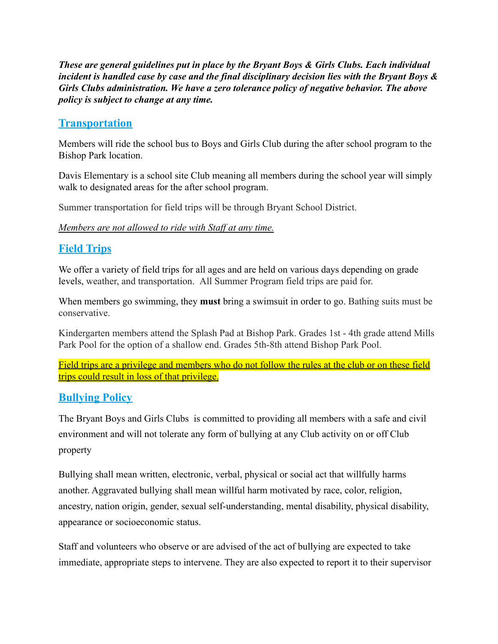*These are general guidelines put in place by the Bryant Boys & Girls Clubs. Each individual incident is handled case by case and the final disciplinary decision lies with the Bryant Boys & Girls Clubs administration. We have a zero tolerance policy of negative behavior. The above policy is subject to change at any time.*

#### **Transportation**

Members will ride the school bus to Boys and Girls Club during the after school program to the Bishop Park location.

Davis Elementary is a school site Club meaning all members during the school year will simply walk to designated areas for the after school program.

Summer transportation for field trips will be through Bryant School District.

*Members are not allowed to ride with Staff at any time.*

#### **Field Trips**

We offer a variety of field trips for all ages and are held on various days depending on grade levels, weather, and transportation. All Summer Program field trips are paid for.

When members go swimming, they **must** bring a swimsuit in order to go. Bathing suits must be conservative.

Kindergarten members attend the Splash Pad at Bishop Park. Grades 1st - 4th grade attend Mills Park Pool for the option of a shallow end. Grades 5th-8th attend Bishop Park Pool.

Field trips are a privilege and members who do not follow the rules at the club or on these field trips could result in loss of that privilege.

#### **Bullying Policy**

The Bryant Boys and Girls Clubs is committed to providing all members with a safe and civil environment and will not tolerate any form of bullying at any Club activity on or off Club property

Bullying shall mean written, electronic, verbal, physical or social act that willfully harms another. Aggravated bullying shall mean willful harm motivated by race, color, religion, ancestry, nation origin, gender, sexual self-understanding, mental disability, physical disability, appearance or socioeconomic status.

Staff and volunteers who observe or are advised of the act of bullying are expected to take immediate, appropriate steps to intervene. They are also expected to report it to their supervisor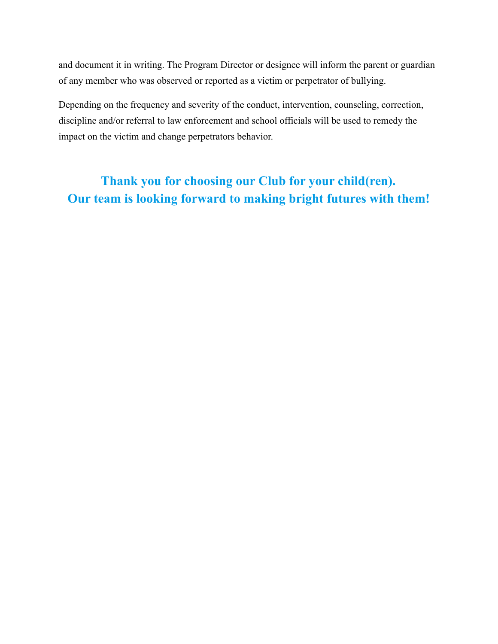and document it in writing. The Program Director or designee will inform the parent or guardian of any member who was observed or reported as a victim or perpetrator of bullying.

Depending on the frequency and severity of the conduct, intervention, counseling, correction, discipline and/or referral to law enforcement and school officials will be used to remedy the impact on the victim and change perpetrators behavior.

# **Thank you for choosing our Club for your child(ren). Our team is looking forward to making bright futures with them!**